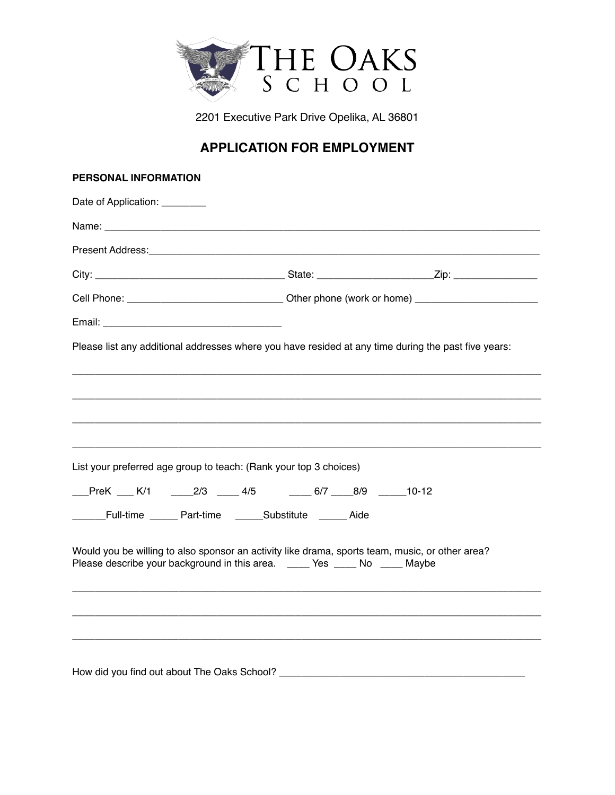

2201 Executive Park Drive Opelika, AL 36801

# **APPLICATION FOR EMPLOYMENT**

#### **PERSONAL INFORMATION**

| Date of Application: ________ |                                                                            |  |                                                                                                     |  |
|-------------------------------|----------------------------------------------------------------------------|--|-----------------------------------------------------------------------------------------------------|--|
|                               |                                                                            |  |                                                                                                     |  |
|                               |                                                                            |  |                                                                                                     |  |
|                               |                                                                            |  |                                                                                                     |  |
|                               |                                                                            |  |                                                                                                     |  |
|                               |                                                                            |  |                                                                                                     |  |
|                               |                                                                            |  | Please list any additional addresses where you have resided at any time during the past five years: |  |
|                               |                                                                            |  |                                                                                                     |  |
|                               |                                                                            |  |                                                                                                     |  |
|                               |                                                                            |  |                                                                                                     |  |
|                               |                                                                            |  |                                                                                                     |  |
|                               | List your preferred age group to teach: (Rank your top 3 choices)          |  |                                                                                                     |  |
|                               | PreK K/1 2/3 4/5 6/7 8/9 10-12                                             |  |                                                                                                     |  |
|                               | Full-time ______ Part-time ______Substitute ______ Aide                    |  |                                                                                                     |  |
|                               |                                                                            |  |                                                                                                     |  |
|                               | Please describe your background in this area. _____ Yes ____ No ____ Maybe |  | Would you be willing to also sponsor an activity like drama, sports team, music, or other area?     |  |
|                               |                                                                            |  |                                                                                                     |  |
|                               |                                                                            |  |                                                                                                     |  |
|                               |                                                                            |  |                                                                                                     |  |
|                               |                                                                            |  |                                                                                                     |  |
|                               | How did you find out about The Oaks School? _________                      |  |                                                                                                     |  |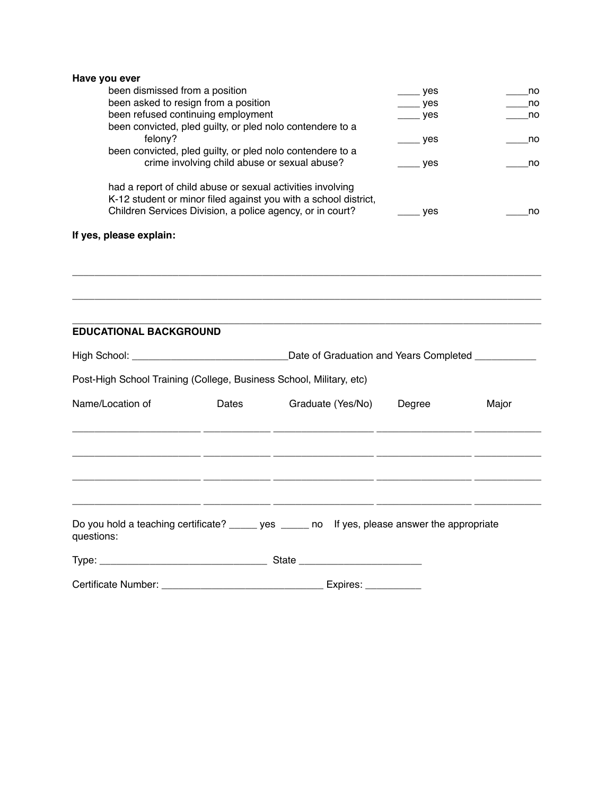|  |  | Have you ever |  |
|--|--|---------------|--|
|--|--|---------------|--|

| been dismissed from a position                                  | ves | no |
|-----------------------------------------------------------------|-----|----|
| been asked to resign from a position                            | yes | no |
| been refused continuing employment                              | yes | no |
| been convicted, pled guilty, or pled nolo contendere to a       |     |    |
| felony?                                                         | ves | no |
| been convicted, pled guilty, or pled nolo contendere to a       |     |    |
| crime involving child abuse or sexual abuse?                    | ves | no |
|                                                                 |     |    |
| had a report of child abuse or sexual activities involving      |     |    |
| K-12 student or minor filed against you with a school district, |     |    |
| Children Services Division, a police agency, or in court?       | ves | no |
|                                                                 |     |    |

\_\_\_\_\_\_\_\_\_\_\_\_\_\_\_\_\_\_\_\_\_\_\_\_\_\_\_\_\_\_\_\_\_\_\_\_\_\_\_\_\_\_\_\_\_\_\_\_\_\_\_\_\_\_\_\_\_\_\_\_\_\_\_\_\_\_\_\_\_\_\_\_\_\_\_\_\_\_\_\_\_\_\_\_

## **If yes, please explain:**

| <b>EDUCATIONAL BACKGROUND</b>                                       |       |                                                                                                |        |       |  |
|---------------------------------------------------------------------|-------|------------------------------------------------------------------------------------------------|--------|-------|--|
|                                                                     |       | Date of Graduation and Years Completed ___________                                             |        |       |  |
| Post-High School Training (College, Business School, Military, etc) |       |                                                                                                |        |       |  |
| Name/Location of                                                    | Dates | Graduate (Yes/No)                                                                              | Degree | Major |  |
|                                                                     |       |                                                                                                |        |       |  |
|                                                                     |       |                                                                                                |        |       |  |
|                                                                     |       | <u> 1980 - Jan James James, Amerikaansk politik (f. 1980)</u>                                  |        |       |  |
|                                                                     |       |                                                                                                |        |       |  |
| questions:                                                          |       | Do you hold a teaching certificate? ______ yes ______ no If yes, please answer the appropriate |        |       |  |
|                                                                     |       |                                                                                                |        |       |  |
|                                                                     |       | Expires: $\frac{1}{2}$ Expires:                                                                |        |       |  |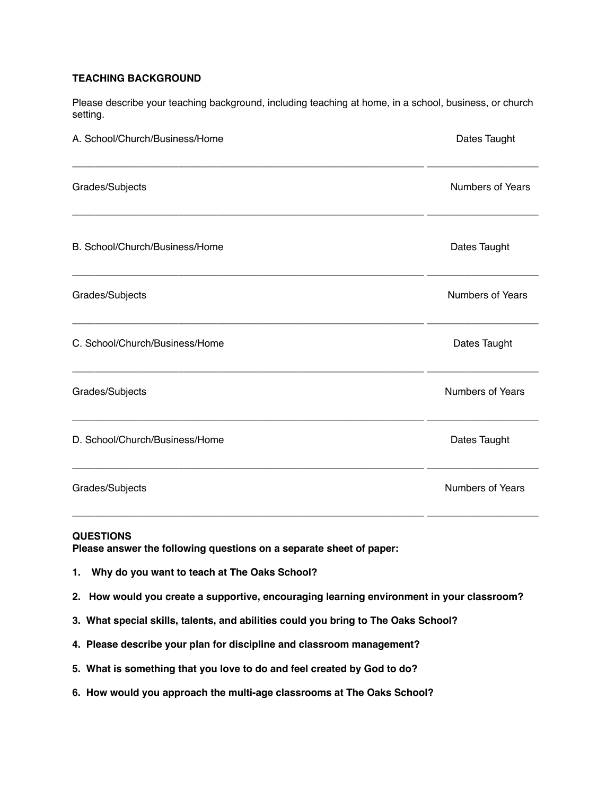#### **TEACHING BACKGROUND**

Please describe your teaching background, including teaching at home, in a school, business, or church setting.

| A. School/Church/Business/Home | Dates Taught            |
|--------------------------------|-------------------------|
| Grades/Subjects                | <b>Numbers of Years</b> |
| B. School/Church/Business/Home | Dates Taught            |
| Grades/Subjects                | <b>Numbers of Years</b> |
| C. School/Church/Business/Home | Dates Taught            |
| Grades/Subjects                | Numbers of Years        |
| D. School/Church/Business/Home | Dates Taught            |
| Grades/Subjects                | Numbers of Years        |

#### **QUESTIONS**

**Please answer the following questions on a separate sheet of paper:** 

- **1. Why do you want to teach at The Oaks School?**
- **2. How would you create a supportive, encouraging learning environment in your classroom?**
- **3. What special skills, talents, and abilities could you bring to The Oaks School?**
- **4. Please describe your plan for discipline and classroom management?**
- **5. What is something that you love to do and feel created by God to do?**
- **6. How would you approach the multi-age classrooms at The Oaks School?**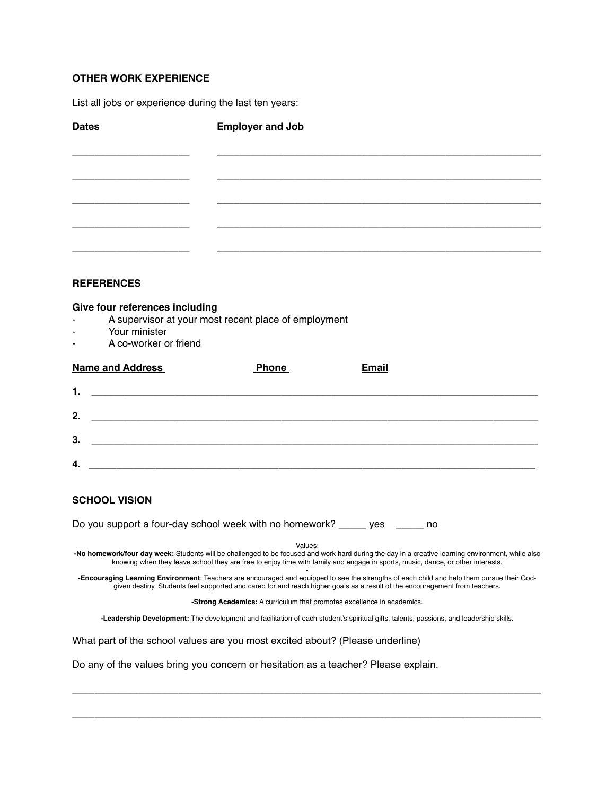### **OTHER WORK EXPERIENCE**

List all jobs or experience during the last ten years:

| <b>Dates</b>                                                                                                               | <b>Employer and Job</b>                                                                                               |                                                                                                                                                                                                                                                                                     |  |  |
|----------------------------------------------------------------------------------------------------------------------------|-----------------------------------------------------------------------------------------------------------------------|-------------------------------------------------------------------------------------------------------------------------------------------------------------------------------------------------------------------------------------------------------------------------------------|--|--|
|                                                                                                                            |                                                                                                                       |                                                                                                                                                                                                                                                                                     |  |  |
|                                                                                                                            |                                                                                                                       |                                                                                                                                                                                                                                                                                     |  |  |
|                                                                                                                            |                                                                                                                       |                                                                                                                                                                                                                                                                                     |  |  |
|                                                                                                                            |                                                                                                                       |                                                                                                                                                                                                                                                                                     |  |  |
| <b>REFERENCES</b>                                                                                                          |                                                                                                                       |                                                                                                                                                                                                                                                                                     |  |  |
| Give four references including<br>Your minister<br>A co-worker or friend                                                   | A supervisor at your most recent place of employment                                                                  |                                                                                                                                                                                                                                                                                     |  |  |
| <b>Name and Address</b>                                                                                                    | <b>Phone</b>                                                                                                          | <b>Email</b>                                                                                                                                                                                                                                                                        |  |  |
| 1.                                                                                                                         |                                                                                                                       |                                                                                                                                                                                                                                                                                     |  |  |
| 2.                                                                                                                         | <u> 1980 - Jan James James Barnett, amerikan bizko bat da bat da bat da bat da bat da bat da bat da bat da bat d</u>  |                                                                                                                                                                                                                                                                                     |  |  |
| 3.                                                                                                                         | <u> 1989 - Johann John Stone, market fan de Amerikaanske kommunister fan de Amerikaanske kommunister fan de Frysk</u> |                                                                                                                                                                                                                                                                                     |  |  |
| 4.<br><u> 2000 - Jan James James Jan James James James James James James James James James James James James James Jam</u> |                                                                                                                       |                                                                                                                                                                                                                                                                                     |  |  |
| <b>SCHOOL VISION</b>                                                                                                       |                                                                                                                       |                                                                                                                                                                                                                                                                                     |  |  |
|                                                                                                                            | Do you support a four-day school week with no homework? _____ yes _____ no                                            |                                                                                                                                                                                                                                                                                     |  |  |
|                                                                                                                            | Values:                                                                                                               | -No homework/four day week: Students will be challenged to be focused and work hard during the day in a creative learning environment, while also<br>knowing when they leave school they are free to enjoy time with family and engage in sports, music, dance, or other interests. |  |  |
|                                                                                                                            |                                                                                                                       | -Encouraging Learning Environment: Teachers are encouraged and equipped to see the strengths of each child and help them pursue their God-<br>given destiny. Students feel supported and cared for and reach higher goals as a result of the encouragement from teachers.           |  |  |
|                                                                                                                            | -Strong Academics: A curriculum that promotes excellence in academics.                                                |                                                                                                                                                                                                                                                                                     |  |  |
|                                                                                                                            |                                                                                                                       | -Leadership Development: The development and facilitation of each student's spiritual gifts, talents, passions, and leadership skills.                                                                                                                                              |  |  |
|                                                                                                                            | What part of the school values are you most excited about? (Please underline)                                         |                                                                                                                                                                                                                                                                                     |  |  |
|                                                                                                                            | Do any of the values bring you concern or hesitation as a teacher? Please explain.                                    |                                                                                                                                                                                                                                                                                     |  |  |

**\_\_\_\_\_\_\_\_\_\_\_\_\_\_\_\_\_\_\_\_\_\_\_\_\_\_\_\_\_\_\_\_\_\_\_\_\_\_\_\_\_\_\_\_\_\_\_\_\_\_\_\_\_\_\_\_\_\_\_\_\_\_\_\_\_\_\_\_\_\_\_\_\_\_\_\_\_\_\_\_\_\_\_\_**